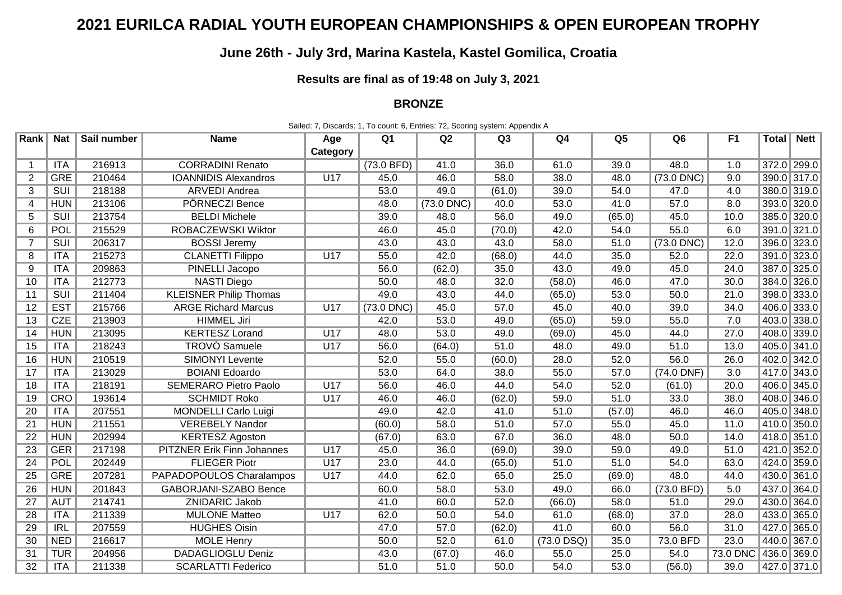## **2021 EURILCA RADIAL YOUTH EUROPEAN CHAMPIONSHIPS & OPEN EUROPEAN TROPHY**

## **June 26th - July 3rd, Marina Kastela, Kastel Gomilica, Croatia**

**Results are final as of 19:48 on July 3, 2021**

## **BRONZE**

| Rank            | Nat        | Sail number | <b>Name</b>                       | Age      | Q1           | Q2           | Q <sub>3</sub> | Q4     | Q5     | Q6           | F <sub>1</sub> | Total <sub>l</sub> | <b>Nett</b> |
|-----------------|------------|-------------|-----------------------------------|----------|--------------|--------------|----------------|--------|--------|--------------|----------------|--------------------|-------------|
|                 |            |             |                                   | Category |              |              |                |        |        |              |                |                    |             |
|                 | ITA        | 216913      | <b>CORRADINI Renato</b>           |          | (73.0 BFD)   | 41.0         | 36.0           | 61.0   | 39.0   | 48.0         | 1.0            | 372.0 299.0        |             |
| $\overline{2}$  | <b>GRE</b> | 210464      | <b>IOANNIDIS Alexandros</b>       | U17      | 45.0         | 46.0         | 58.0           | 38.0   | 48.0   | (73.0 DNC)   | 9.0            | 390.0 317.0        |             |
| 3               | SUI        | 218188      | <b>ARVEDI Andrea</b>              |          | 53.0         | 49.0         | (61.0)         | 39.0   | 54.0   | 47.0         | 4.0            | 380.0 319.0        |             |
| $\overline{4}$  | <b>HUN</b> | 213106      | PÖRNECZI Bence                    |          | 48.0         | $(73.0$ DNC) | 40.0           | 53.0   | 41.0   | 57.0         | 8.0            | 393.0 320.0        |             |
| 5               | SUI        | 213754      | <b>BELDI</b> Michele              |          | 39.0         | 48.0         | 56.0           | 49.0   | (65.0) | 45.0         | 10.0           | 385.0 320.0        |             |
| 6               | POL        | 215529      | ROBACZEWSKI Wiktor                |          | 46.0         | 45.0         | (70.0)         | 42.0   | 54.0   | 55.0         | 6.0            | 391.0 321.0        |             |
| 7               | SUI        | 206317      | <b>BOSSI Jeremy</b>               |          | 43.0         | 43.0         | 43.0           | 58.0   | 51.0   | $(73.0$ DNC) | 12.0           | 396.0 323.0        |             |
| 8               | <b>ITA</b> | 215273      | <b>CLANETTI Filippo</b>           | U17      | 55.0         | 42.0         | (68.0)         | 44.0   | 35.0   | 52.0         | 22.0           | 391.0 323.0        |             |
| 9               | <b>ITA</b> | 209863      | PINELLI Jacopo                    |          | 56.0         | (62.0)       | 35.0           | 43.0   | 49.0   | 45.0         | 24.0           | 387.0 325.0        |             |
| 10              | <b>ITA</b> | 212773      | <b>NASTI Diego</b>                |          | 50.0         | 48.0         | 32.0           | (58.0) | 46.0   | 47.0         | 30.0           | 384.0 326.0        |             |
| 11              | SUI        | 211404      | <b>KLEISNER Philip Thomas</b>     |          | 49.0         | 43.0         | 44.0           | (65.0) | 53.0   | 50.0         | 21.0           | 398.0 333.0        |             |
| 12              | <b>EST</b> | 215766      | <b>ARGE Richard Marcus</b>        | U17      | $(73.0$ DNC) | 45.0         | 57.0           | 45.0   | 40.0   | 39.0         | 34.0           | 406.0 333.0        |             |
| 13              | CZE        | 213903      | <b>HIMMEL Jiri</b>                |          | 42.0         | 53.0         | 49.0           | (65.0) | 59.0   | 55.0         | 7.0            | 403.0 338.0        |             |
| 14              | <b>HUN</b> | 213095      | <b>KERTESZ Lorand</b>             | U17      | 48.0         | 53.0         | 49.0           | (69.0) | 45.0   | 44.0         | 27.0           | 408.0 339.0        |             |
| 15              | <b>ITA</b> | 218243      | <b>TROVO</b> Samuele              | U17      | 56.0         | (64.0)       | 51.0           | 48.0   | 49.0   | 51.0         | 13.0           | 405.0 341.0        |             |
| 16              | <b>HUN</b> | 210519      | <b>SIMONYI Levente</b>            |          | 52.0         | 55.0         | (60.0)         | 28.0   | 52.0   | 56.0         | 26.0           | 402.0 342.0        |             |
| 17              | <b>ITA</b> | 213029      | <b>BOIANI</b> Edoardo             |          | 53.0         | 64.0         | 38.0           | 55.0   | 57.0   | (74.0 DNF)   | 3.0            | 417.0 343.0        |             |
| 18              | <b>ITA</b> | 218191      | <b>SEMERARO Pietro Paolo</b>      | U17      | 56.0         | 46.0         | 44.0           | 54.0   | 52.0   | (61.0)       | 20.0           | 406.0 345.0        |             |
| 19              | <b>CRO</b> | 193614      | <b>SCHMIDT Roko</b>               | U17      | 46.0         | 46.0         | (62.0)         | 59.0   | 51.0   | 33.0         | 38.0           | 408.0 346.0        |             |
| 20              | ITA        | 207551      | <b>MONDELLI</b> Carlo Luigi       |          | 49.0         | 42.0         | 41.0           | 51.0   | (57.0) | 46.0         | 46.0           | 405.0 348.0        |             |
| 21              | <b>HUN</b> | 211551      | <b>VEREBELY Nandor</b>            |          | (60.0)       | 58.0         | 51.0           | 57.0   | 55.0   | 45.0         | 11.0           | 410.0 350.0        |             |
| $\overline{22}$ | <b>HUN</b> | 202994      | <b>KERTESZ Agoston</b>            |          | (67.0)       | 63.0         | 67.0           | 36.0   | 48.0   | 50.0         | 14.0           | 418.0 351.0        |             |
| 23              | <b>GER</b> | 217198      | <b>PITZNER Erik Finn Johannes</b> | U17      | 45.0         | 36.0         | (69.0)         | 39.0   | 59.0   | 49.0         | 51.0           | 421.0 352.0        |             |
| 24              | POL        | 202449      | <b>FLIEGER Piotr</b>              | U17      | 23.0         | 44.0         | (65.0)         | 51.0   | 51.0   | 54.0         | 63.0           | 424.0 359.0        |             |
| $\overline{25}$ | <b>GRE</b> | 207281      | PAPADOPOULOS Charalampos          | U17      | 44.0         | 62.0         | 65.0           | 25.0   | (69.0) | 48.0         | 44.0           | 430.0 361.0        |             |
| 26              | <b>HUN</b> | 201843      | <b>GABORJANI-SZABO Bence</b>      |          | 60.0         | 58.0         | 53.0           | 49.0   | 66.0   | (73.0 BFD)   | 5.0            | 437.0 364.0        |             |
| 27              | <b>AUT</b> | 214741      | <b>ZNIDARIC Jakob</b>             |          | 41.0         | 60.0         | 52.0           | (66.0) | 58.0   | 51.0         | 29.0           | 430.0 364.0        |             |
| 28              | <b>ITA</b> | 211339      | <b>MULONE Matteo</b>              | U17      | 62.0         | 50.0         | 54.0           | 61.0   | (68.0) | 37.0         | 28.0           | 433.0 365.0        |             |
| 29              | <b>IRL</b> | 207559      | <b>HUGHES Oisin</b>               |          | 47.0         | 57.0         | (62.0)         | 41.0   | 60.0   | 56.0         | 31.0           | 427.0 365.0        |             |

30 NED 216617 MOLE Henry 50.0 52.0 61.0 (73.0 DSQ) 35.0 73.0 BFD 23.0 440.0 367.0 31 TUR 204956 DADAGLIOGLU Deniz | 43.0 (67.0) 46.0 55.0 25.0 54.0 73.0 DNC 436.0 369.0 32 | ITA | 211338 | SCARLATTI Federico | 51.0 | 51.0 | 50.0 | 54.0 | 53.0 | (56.0) | 39.0 | 427.0 | 371.0